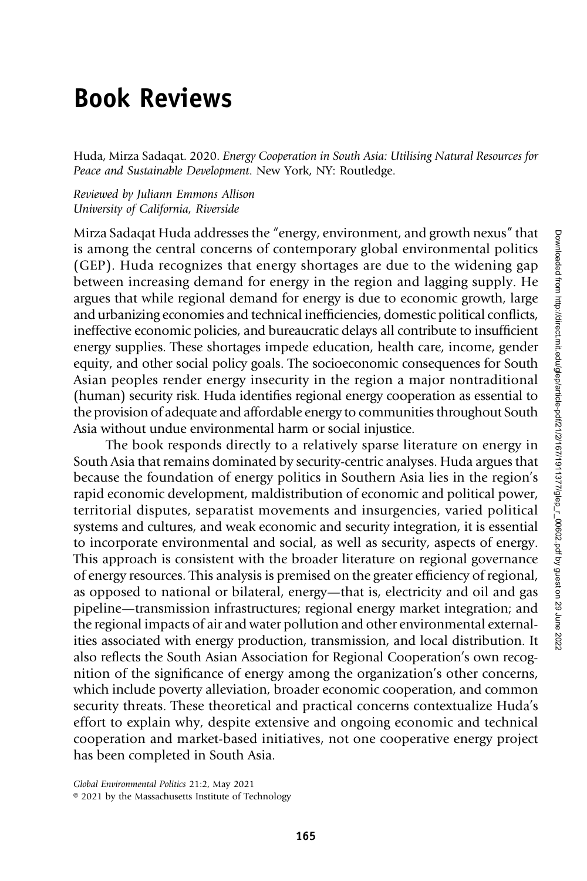## Book Reviews

Huda, Mirza Sadaqat. 2020. Energy Cooperation in South Asia: Utilising Natural Resources for Peace and Sustainable Development. New York, NY: Routledge.

Reviewed by Juliann Emmons Allison University of California, Riverside

Mirza Sadaqat Huda addresses the "energy, environment, and growth nexus" that is among the central concerns of contemporary global environmental politics (GEP). Huda recognizes that energy shortages are due to the widening gap between increasing demand for energy in the region and lagging supply. He argues that while regional demand for energy is due to economic growth, large and urbanizing economies and technical inefficiencies, domestic political conflicts, ineffective economic policies, and bureaucratic delays all contribute to insufficient energy supplies. These shortages impede education, health care, income, gender equity, and other social policy goals. The socioeconomic consequences for South Asian peoples render energy insecurity in the region a major nontraditional (human) security risk. Huda identifies regional energy cooperation as essential to the provision of adequate and affordable energy to communities throughout South Asia without undue environmental harm or social injustice.

The book responds directly to a relatively sparse literature on energy in South Asia that remains dominated by security-centric analyses. Huda argues that because the foundation of energy politics in Southern Asia lies in the region's rapid economic development, maldistribution of economic and political power, territorial disputes, separatist movements and insurgencies, varied political systems and cultures, and weak economic and security integration, it is essential to incorporate environmental and social, as well as security, aspects of energy. This approach is consistent with the broader literature on regional governance of energy resources. This analysis is premised on the greater efficiency of regional, as opposed to national or bilateral, energy—that is, electricity and oil and gas pipeline—transmission infrastructures; regional energy market integration; and the regional impacts of air and water pollution and other environmental externalities associated with energy production, transmission, and local distribution. It also reflects the South Asian Association for Regional Cooperation's own recognition of the significance of energy among the organization's other concerns, which include poverty alleviation, broader economic cooperation, and common security threats. These theoretical and practical concerns contextualize Huda's effort to explain why, despite extensive and ongoing economic and technical cooperation and market-based initiatives, not one cooperative energy project has been completed in South Asia.

Global Environmental Politics 21:2, May 2021

<sup>© 2021</sup> by the Massachusetts Institute of Technology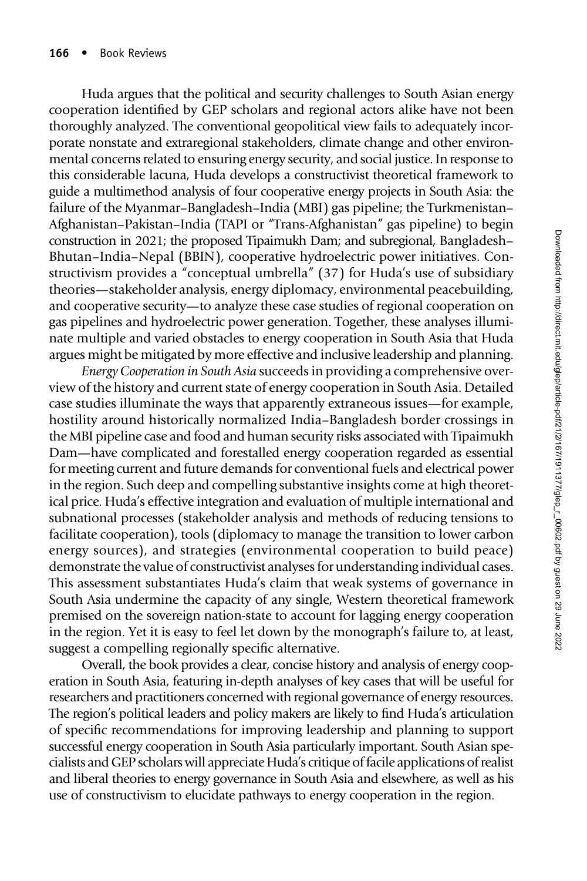Huda argues that the political and security challenges to South Asian energy cooperation identified by GEP scholars and regional actors alike have not been thoroughly analyzed. The conventional geopolitical view fails to adequately incorporate nonstate and extraregional stakeholders, climate change and other environmental concerns related to ensuring energy security, and social justice. In response to this considerable lacuna, Huda develops a constructivist theoretical framework to guide a multimethod analysis of four cooperative energy projects in South Asia: the failure of the Myanmar–Bangladesh–India (MBI) gas pipeline; the Turkmenistan– Afghanistan–Pakistan–India (TAPI or "Trans-Afghanistan" gas pipeline) to begin construction in 2021; the proposed Tipaimukh Dam; and subregional, Bangladesh– Bhutan–India–Nepal (BBIN), cooperative hydroelectric power initiatives. Constructivism provides a "conceptual umbrella" (37) for Huda's use of subsidiary theories—stakeholder analysis, energy diplomacy, environmental peacebuilding, and cooperative security—to analyze these case studies of regional cooperation on gas pipelines and hydroelectric power generation. Together, these analyses illuminate multiple and varied obstacles to energy cooperation in South Asia that Huda argues might be mitigated by more effective and inclusive leadership and planning.

Energy Cooperation in South Asia succeeds in providing a comprehensive overview of the history and current state of energy cooperation in South Asia. Detailed case studies illuminate the ways that apparently extraneous issues—for example, hostility around historically normalized India–Bangladesh border crossings in the MBI pipeline case and food and human security risks associated with Tipaimukh Dam—have complicated and forestalled energy cooperation regarded as essential for meeting current and future demands for conventional fuels and electrical power in the region. Such deep and compelling substantive insights come at high theoretical price. Huda's effective integration and evaluation of multiple international and subnational processes (stakeholder analysis and methods of reducing tensions to facilitate cooperation), tools (diplomacy to manage the transition to lower carbon energy sources), and strategies (environmental cooperation to build peace) demonstrate the value of constructivist analyses for understanding individual cases. This assessment substantiates Huda's claim that weak systems of governance in South Asia undermine the capacity of any single, Western theoretical framework premised on the sovereign nation-state to account for lagging energy cooperation in the region. Yet it is easy to feel let down by the monograph's failure to, at least, suggest a compelling regionally specific alternative.

Overall, the book provides a clear, concise history and analysis of energy cooperation in South Asia, featuring in-depth analyses of key cases that will be useful for researchers and practitioners concerned with regional governance of energy resources. The region's political leaders and policy makers are likely to find Huda's articulation of specific recommendations for improving leadership and planning to support successful energy cooperation in South Asia particularly important. South Asian specialists and GEP scholars will appreciate Huda's critique of facile applications of realist and liberal theories to energy governance in South Asia and elsewhere, as well as his use of constructivism to elucidate pathways to energy cooperation in the region.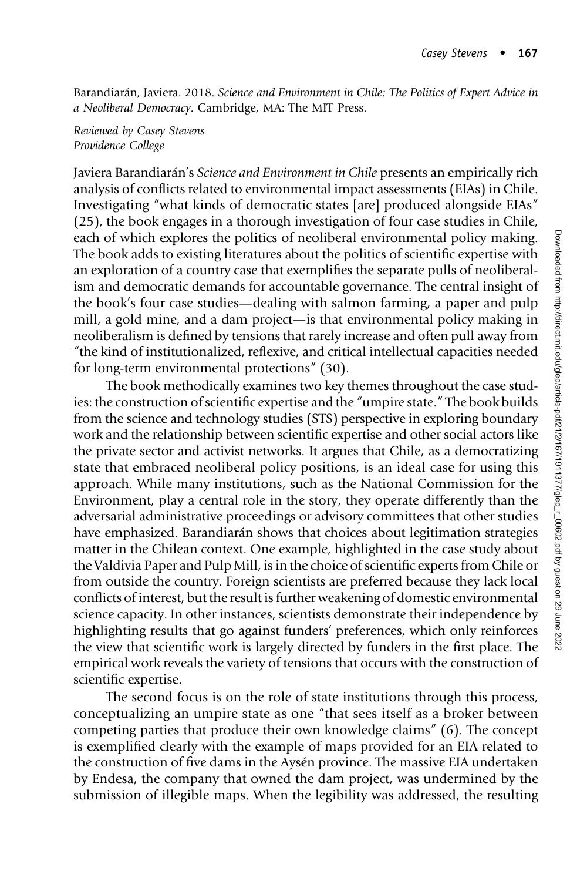Barandiarán, Javiera. 2018. Science and Environment in Chile: The Politics of Expert Advice in a Neoliberal Democracy. Cambridge, MA: The MIT Press.

Reviewed by Casey Stevens Providence College

Javiera Barandiarán's Science and Environment in Chile presents an empirically rich analysis of conflicts related to environmental impact assessments (EIAs) in Chile. Investigating "what kinds of democratic states [are] produced alongside EIAs" (25), the book engages in a thorough investigation of four case studies in Chile, each of which explores the politics of neoliberal environmental policy making. The book adds to existing literatures about the politics of scientific expertise with an exploration of a country case that exemplifies the separate pulls of neoliberalism and democratic demands for accountable governance. The central insight of the book's four case studies—dealing with salmon farming, a paper and pulp mill, a gold mine, and a dam project—is that environmental policy making in neoliberalism is defined by tensions that rarely increase and often pull away from "the kind of institutionalized, reflexive, and critical intellectual capacities needed for long-term environmental protections" (30).

The book methodically examines two key themes throughout the case studies: the construction of scientific expertise and the "umpire state." The book builds from the science and technology studies (STS) perspective in exploring boundary work and the relationship between scientific expertise and other social actors like the private sector and activist networks. It argues that Chile, as a democratizing state that embraced neoliberal policy positions, is an ideal case for using this approach. While many institutions, such as the National Commission for the Environment, play a central role in the story, they operate differently than the adversarial administrative proceedings or advisory committees that other studies have emphasized. Barandiarán shows that choices about legitimation strategies matter in the Chilean context. One example, highlighted in the case study about the Valdivia Paper and Pulp Mill, is in the choice of scientific experts from Chile or from outside the country. Foreign scientists are preferred because they lack local conflicts of interest, but the result is further weakening of domestic environmental science capacity. In other instances, scientists demonstrate their independence by highlighting results that go against funders' preferences, which only reinforces the view that scientific work is largely directed by funders in the first place. The empirical work reveals the variety of tensions that occurs with the construction of scientific expertise.

The second focus is on the role of state institutions through this process, conceptualizing an umpire state as one "that sees itself as a broker between competing parties that produce their own knowledge claims" (6). The concept is exemplified clearly with the example of maps provided for an EIA related to the construction of five dams in the Aysén province. The massive EIA undertaken by Endesa, the company that owned the dam project, was undermined by the submission of illegible maps. When the legibility was addressed, the resulting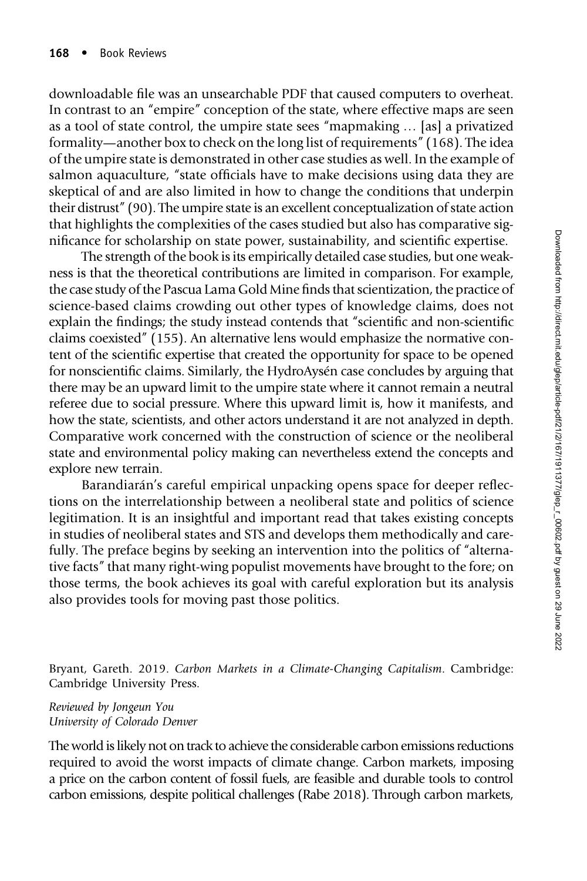downloadable file was an unsearchable PDF that caused computers to overheat. In contrast to an "empire" conception of the state, where effective maps are seen as a tool of state control, the umpire state sees "mapmaking … [as] a privatized formality—another box to check on the long list of requirements" (168). The idea of the umpire state is demonstrated in other case studies as well. In the example of salmon aquaculture, "state officials have to make decisions using data they are skeptical of and are also limited in how to change the conditions that underpin their distrust" (90). The umpire state is an excellent conceptualization of state action that highlights the complexities of the cases studied but also has comparative significance for scholarship on state power, sustainability, and scientific expertise.

The strength of the book is its empirically detailed case studies, but one weakness is that the theoretical contributions are limited in comparison. For example, the case study of the Pascua Lama Gold Mine finds that scientization, the practice of science-based claims crowding out other types of knowledge claims, does not explain the findings; the study instead contends that "scientific and non-scientific claims coexisted" (155). An alternative lens would emphasize the normative content of the scientific expertise that created the opportunity for space to be opened for nonscientific claims. Similarly, the HydroAysén case concludes by arguing that there may be an upward limit to the umpire state where it cannot remain a neutral referee due to social pressure. Where this upward limit is, how it manifests, and how the state, scientists, and other actors understand it are not analyzed in depth. Comparative work concerned with the construction of science or the neoliberal state and environmental policy making can nevertheless extend the concepts and explore new terrain.

Barandiarán's careful empirical unpacking opens space for deeper reflections on the interrelationship between a neoliberal state and politics of science legitimation. It is an insightful and important read that takes existing concepts in studies of neoliberal states and STS and develops them methodically and carefully. The preface begins by seeking an intervention into the politics of "alternative facts" that many right-wing populist movements have brought to the fore; on those terms, the book achieves its goal with careful exploration but its analysis also provides tools for moving past those politics.

Bryant, Gareth. 2019. Carbon Markets in a Climate-Changing Capitalism. Cambridge: Cambridge University Press.

Reviewed by Jongeun You University of Colorado Denver

The world is likely not on track to achieve the considerable carbon emissions reductions required to avoid the worst impacts of climate change. Carbon markets, imposing a price on the carbon content of fossil fuels, are feasible and durable tools to control carbon emissions, despite political challenges (Rabe 2018). Through carbon markets,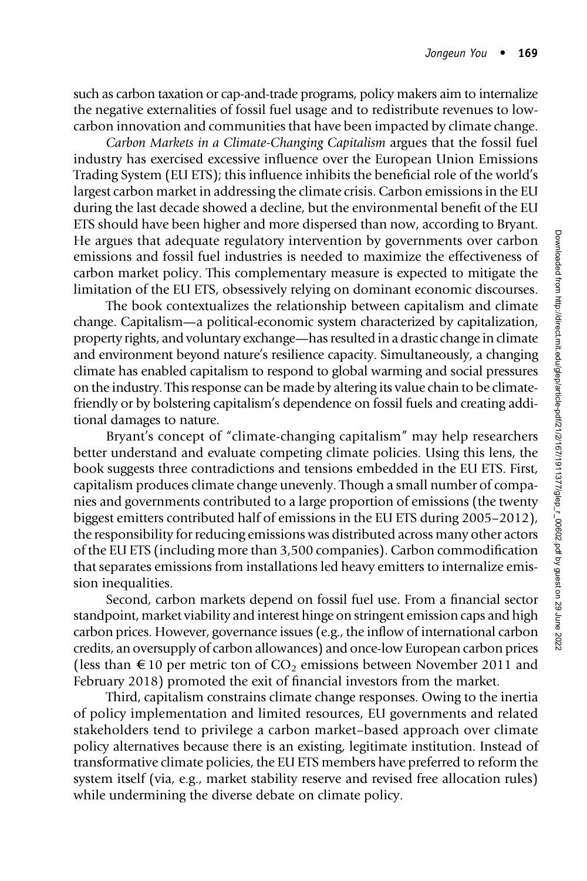such as carbon taxation or cap-and-trade programs, policy makers aim to internalize the negative externalities of fossil fuel usage and to redistribute revenues to lowcarbon innovation and communities that have been impacted by climate change.

Carbon Markets in a Climate-Changing Capitalism argues that the fossil fuel industry has exercised excessive influence over the European Union Emissions Trading System (EU ETS); this influence inhibits the beneficial role of the world's largest carbon market in addressing the climate crisis. Carbon emissions in the EU during the last decade showed a decline, but the environmental benefit of the EU ETS should have been higher and more dispersed than now, according to Bryant. He argues that adequate regulatory intervention by governments over carbon emissions and fossil fuel industries is needed to maximize the effectiveness of carbon market policy. This complementary measure is expected to mitigate the limitation of the EU ETS, obsessively relying on dominant economic discourses.

The book contextualizes the relationship between capitalism and climate change. Capitalism—a political-economic system characterized by capitalization, property rights, and voluntary exchange—has resulted in a drastic change in climate and environment beyond nature's resilience capacity. Simultaneously, a changing climate has enabled capitalism to respond to global warming and social pressures on the industry. This response can be made by altering its value chain to be climatefriendly or by bolstering capitalism's dependence on fossil fuels and creating additional damages to nature.

Bryant's concept of "climate-changing capitalism" may help researchers better understand and evaluate competing climate policies. Using this lens, the book suggests three contradictions and tensions embedded in the EU ETS. First, capitalism produces climate change unevenly. Though a small number of companies and governments contributed to a large proportion of emissions (the twenty biggest emitters contributed half of emissions in the EU ETS during 2005–2012), the responsibility for reducing emissions was distributed across many other actors of the EU ETS (including more than 3,500 companies). Carbon commodification that separates emissions from installations led heavy emitters to internalize emission inequalities.

Second, carbon markets depend on fossil fuel use. From a financial sector standpoint, market viability and interest hinge on stringent emission caps and high carbon prices. However, governance issues (e.g., the inflow of international carbon credits, an oversupply of carbon allowances) and once-low European carbon prices (less than  $\epsilon$  10 per metric ton of CO<sub>2</sub> emissions between November 2011 and February 2018) promoted the exit of financial investors from the market.

Third, capitalism constrains climate change responses. Owing to the inertia of policy implementation and limited resources, EU governments and related stakeholders tend to privilege a carbon market–based approach over climate policy alternatives because there is an existing, legitimate institution. Instead of transformative climate policies, the EU ETS members have preferred to reform the system itself (via, e.g., market stability reserve and revised free allocation rules) while undermining the diverse debate on climate policy.